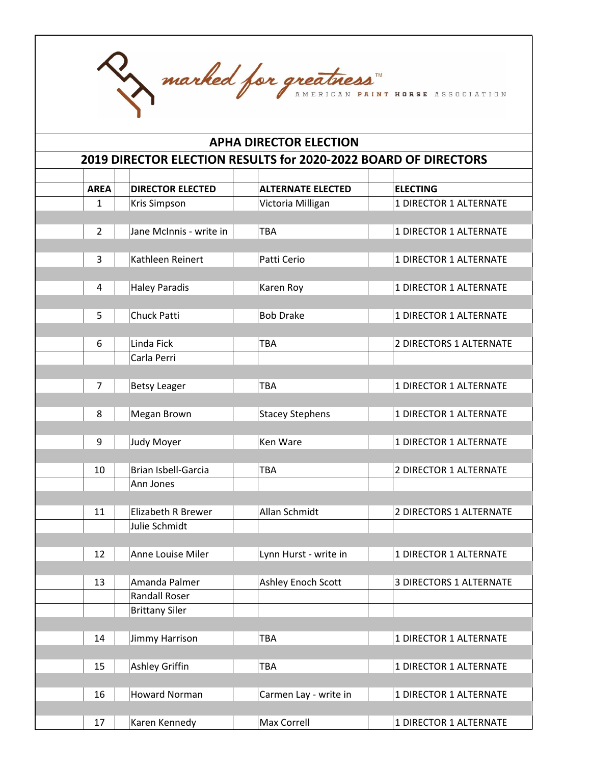|                 | marked for greatness<br><b>APHA DIRECTOR ELECTION</b>           |                          |                                |  |  |  |
|-----------------|-----------------------------------------------------------------|--------------------------|--------------------------------|--|--|--|
|                 |                                                                 |                          |                                |  |  |  |
|                 | 2019 DIRECTOR ELECTION RESULTS for 2020-2022 BOARD OF DIRECTORS |                          |                                |  |  |  |
| <b>AREA</b>     | <b>DIRECTOR ELECTED</b>                                         | <b>ALTERNATE ELECTED</b> | <b>ELECTING</b>                |  |  |  |
| $\mathbf{1}$    | Kris Simpson                                                    | Victoria Milligan        | 1 DIRECTOR 1 ALTERNATE         |  |  |  |
|                 |                                                                 |                          |                                |  |  |  |
| $\overline{2}$  | Jane McInnis - write in                                         | <b>TBA</b>               | 1 DIRECTOR 1 ALTERNATE         |  |  |  |
| 3               | Kathleen Reinert                                                | Patti Cerio              | 1 DIRECTOR 1 ALTERNATE         |  |  |  |
|                 |                                                                 |                          |                                |  |  |  |
| 4               | <b>Haley Paradis</b>                                            | Karen Roy                | 1 DIRECTOR 1 ALTERNATE         |  |  |  |
|                 |                                                                 |                          |                                |  |  |  |
| 5               | Chuck Patti                                                     | <b>Bob Drake</b>         | 1 DIRECTOR 1 ALTERNATE         |  |  |  |
| 6               | Linda Fick                                                      | <b>TBA</b>               | 2 DIRECTORS 1 ALTERNATE        |  |  |  |
|                 | Carla Perri                                                     |                          |                                |  |  |  |
|                 |                                                                 |                          |                                |  |  |  |
| 7               | <b>Betsy Leager</b>                                             | <b>TBA</b>               | 1 DIRECTOR 1 ALTERNATE         |  |  |  |
| 8               | Megan Brown                                                     | <b>Stacey Stephens</b>   | 1 DIRECTOR 1 ALTERNATE         |  |  |  |
|                 |                                                                 |                          |                                |  |  |  |
| 9               | Judy Moyer                                                      | Ken Ware                 | 1 DIRECTOR 1 ALTERNATE         |  |  |  |
|                 |                                                                 |                          |                                |  |  |  |
| 10 <sup>1</sup> | Brian Isbell-Garcia                                             | TBA                      | 2 DIRECTOR 1 ALTERNATE         |  |  |  |
|                 | Ann Jones                                                       |                          |                                |  |  |  |
| 11              | Elizabeth R Brewer                                              | Allan Schmidt            | 2 DIRECTORS 1 ALTERNATE        |  |  |  |
|                 | Julie Schmidt                                                   |                          |                                |  |  |  |
|                 |                                                                 |                          |                                |  |  |  |
| 12              | Anne Louise Miler                                               | Lynn Hurst - write in    | 1 DIRECTOR 1 ALTERNATE         |  |  |  |
|                 |                                                                 |                          |                                |  |  |  |
| 13              | Amanda Palmer<br><b>Randall Roser</b>                           | Ashley Enoch Scott       | <b>3 DIRECTORS 1 ALTERNATE</b> |  |  |  |
|                 | <b>Brittany Siler</b>                                           |                          |                                |  |  |  |
|                 |                                                                 |                          |                                |  |  |  |
| 14              | Jimmy Harrison                                                  | TBA                      | 1 DIRECTOR 1 ALTERNATE         |  |  |  |
|                 |                                                                 |                          |                                |  |  |  |
| 15              | Ashley Griffin                                                  | TBA                      | 1 DIRECTOR 1 ALTERNATE         |  |  |  |
| 16              | <b>Howard Norman</b>                                            | Carmen Lay - write in    | 1 DIRECTOR 1 ALTERNATE         |  |  |  |
|                 |                                                                 |                          |                                |  |  |  |
| 17              | Karen Kennedy                                                   | Max Correll              | 1 DIRECTOR 1 ALTERNATE         |  |  |  |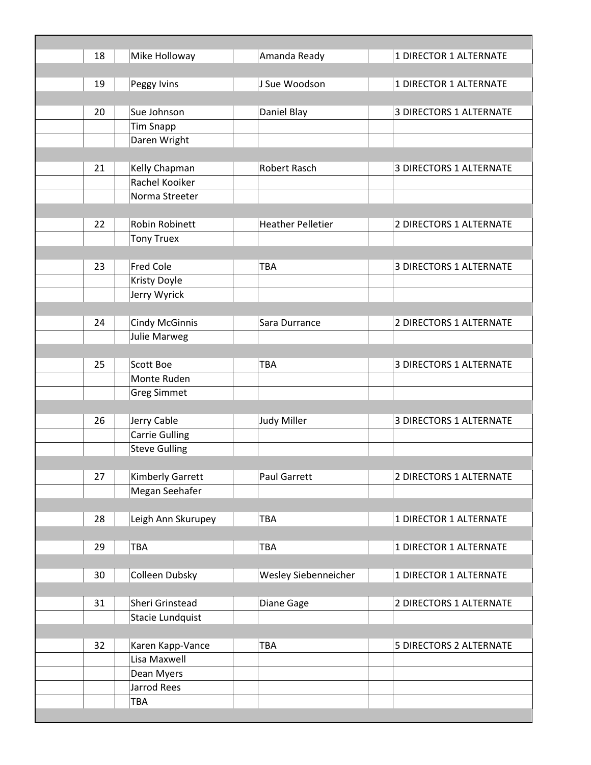| 18 | Mike Holloway         | Amanda Ready             | 1 DIRECTOR 1 ALTERNATE         |
|----|-----------------------|--------------------------|--------------------------------|
|    |                       |                          |                                |
| 19 | Peggy Ivins           | J Sue Woodson            | 1 DIRECTOR 1 ALTERNATE         |
|    |                       |                          |                                |
| 20 | Sue Johnson           | Daniel Blay              | <b>3 DIRECTORS 1 ALTERNATE</b> |
|    | <b>Tim Snapp</b>      |                          |                                |
|    | Daren Wright          |                          |                                |
|    |                       |                          |                                |
| 21 | Kelly Chapman         | <b>Robert Rasch</b>      | <b>3 DIRECTORS 1 ALTERNATE</b> |
|    | Rachel Kooiker        |                          |                                |
|    | Norma Streeter        |                          |                                |
|    |                       |                          |                                |
| 22 | Robin Robinett        | <b>Heather Pelletier</b> | 2 DIRECTORS 1 ALTERNATE        |
|    | <b>Tony Truex</b>     |                          |                                |
|    |                       |                          |                                |
| 23 | <b>Fred Cole</b>      | <b>TBA</b>               | <b>3 DIRECTORS 1 ALTERNATE</b> |
|    | Kristy Doyle          |                          |                                |
|    | Jerry Wyrick          |                          |                                |
|    |                       |                          |                                |
| 24 | <b>Cindy McGinnis</b> | Sara Durrance            | 2 DIRECTORS 1 ALTERNATE        |
|    | <b>Julie Marweg</b>   |                          |                                |
|    |                       |                          |                                |
| 25 | <b>Scott Boe</b>      | TBA                      | <b>3 DIRECTORS 1 ALTERNATE</b> |
|    | Monte Ruden           |                          |                                |
|    | <b>Greg Simmet</b>    |                          |                                |
|    |                       |                          |                                |
| 26 | Jerry Cable           | <b>Judy Miller</b>       | <b>3 DIRECTORS 1 ALTERNATE</b> |
|    | <b>Carrie Gulling</b> |                          |                                |
|    | <b>Steve Gulling</b>  |                          |                                |
|    |                       |                          |                                |
| 27 | Kimberly Garrett      | Paul Garrett             | 2 DIRECTORS 1 ALTERNATE        |
|    | Megan Seehafer        |                          |                                |
|    |                       |                          |                                |
| 28 | Leigh Ann Skurupey    | TBA                      | 1 DIRECTOR 1 ALTERNATE         |
|    |                       |                          |                                |
| 29 | TBA                   | TBA                      | 1 DIRECTOR 1 ALTERNATE         |
|    |                       |                          |                                |
| 30 | Colleen Dubsky        | Wesley Siebenneicher     | 1 DIRECTOR 1 ALTERNATE         |
|    |                       |                          |                                |
| 31 | Sheri Grinstead       | Diane Gage               | 2 DIRECTORS 1 ALTERNATE        |
|    | Stacie Lundquist      |                          |                                |
|    |                       |                          |                                |
| 32 | Karen Kapp-Vance      | TBA                      | 5 DIRECTORS 2 ALTERNATE        |
|    | Lisa Maxwell          |                          |                                |
|    | Dean Myers            |                          |                                |
|    | Jarrod Rees           |                          |                                |
|    | TBA                   |                          |                                |
|    |                       |                          |                                |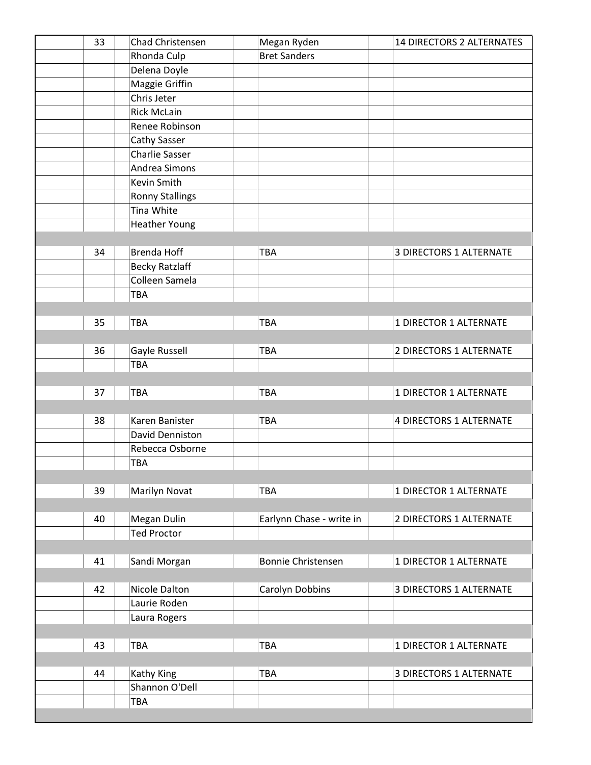| 33 | Chad Christensen       | Megan Ryden               | <b>14 DIRECTORS 2 ALTERNATES</b> |
|----|------------------------|---------------------------|----------------------------------|
|    | Rhonda Culp            | <b>Bret Sanders</b>       |                                  |
|    | Delena Doyle           |                           |                                  |
|    | Maggie Griffin         |                           |                                  |
|    | Chris Jeter            |                           |                                  |
|    | <b>Rick McLain</b>     |                           |                                  |
|    | Renee Robinson         |                           |                                  |
|    | Cathy Sasser           |                           |                                  |
|    | <b>Charlie Sasser</b>  |                           |                                  |
|    | Andrea Simons          |                           |                                  |
|    | Kevin Smith            |                           |                                  |
|    | <b>Ronny Stallings</b> |                           |                                  |
|    | Tina White             |                           |                                  |
|    | <b>Heather Young</b>   |                           |                                  |
|    |                        |                           |                                  |
| 34 | <b>Brenda Hoff</b>     | TBA                       | <b>3 DIRECTORS 1 ALTERNATE</b>   |
|    | <b>Becky Ratzlaff</b>  |                           |                                  |
|    | Colleen Samela         |                           |                                  |
|    | TBA                    |                           |                                  |
|    |                        |                           |                                  |
| 35 | TBA                    | <b>TBA</b>                | 1 DIRECTOR 1 ALTERNATE           |
|    |                        |                           |                                  |
| 36 | Gayle Russell          | <b>TBA</b>                | 2 DIRECTORS 1 ALTERNATE          |
|    | TBA                    |                           |                                  |
|    |                        |                           |                                  |
| 37 | TBA                    | <b>TBA</b>                | 1 DIRECTOR 1 ALTERNATE           |
|    |                        |                           |                                  |
| 38 | Karen Banister         | <b>TBA</b>                | <b>4 DIRECTORS 1 ALTERNATE</b>   |
|    | David Denniston        |                           |                                  |
|    | Rebecca Osborne        |                           |                                  |
|    | TBA                    |                           |                                  |
|    |                        |                           |                                  |
| 39 | Marilyn Novat          | <b>TBA</b>                | 1 DIRECTOR 1 ALTERNATE           |
|    |                        |                           |                                  |
| 40 | Megan Dulin            | Earlynn Chase - write in  | 2 DIRECTORS 1 ALTERNATE          |
|    | <b>Ted Proctor</b>     |                           |                                  |
|    |                        |                           |                                  |
| 41 | Sandi Morgan           | <b>Bonnie Christensen</b> | 1 DIRECTOR 1 ALTERNATE           |
|    |                        |                           |                                  |
| 42 | Nicole Dalton          | Carolyn Dobbins           | <b>3 DIRECTORS 1 ALTERNATE</b>   |
|    | Laurie Roden           |                           |                                  |
|    | Laura Rogers           |                           |                                  |
|    |                        |                           |                                  |
| 43 | TBA                    | <b>TBA</b>                | 1 DIRECTOR 1 ALTERNATE           |
|    |                        |                           |                                  |
| 44 | Kathy King             | <b>TBA</b>                | <b>3 DIRECTORS 1 ALTERNATE</b>   |
|    | Shannon O'Dell         |                           |                                  |
|    | TBA                    |                           |                                  |
|    |                        |                           |                                  |